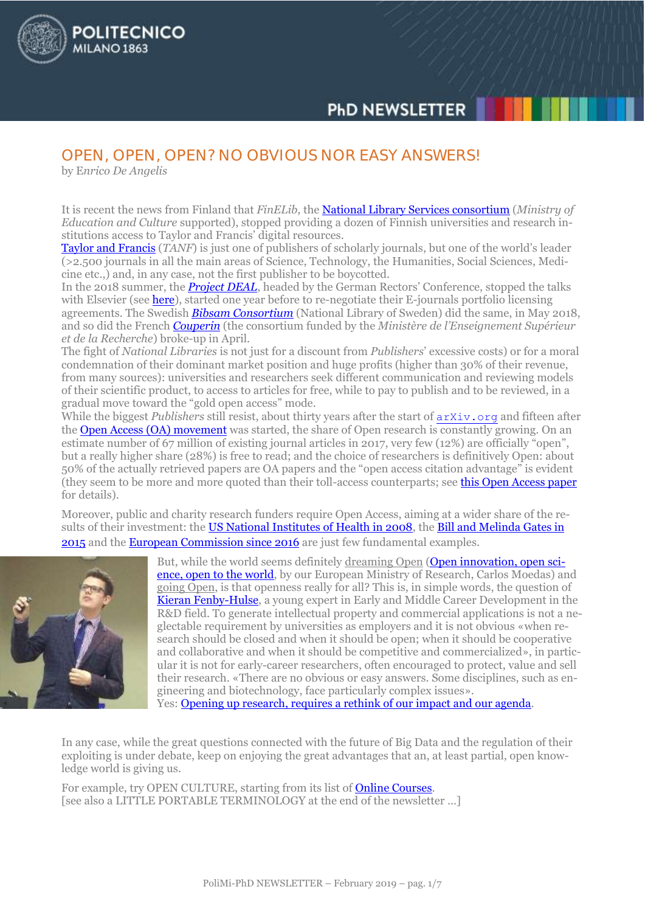# **PHD NEWSLETTER**

# OPEN, OPEN, OPEN? NO OBVIOUS NOR EASY ANSWERS!

by E*nrico De Angelis*

**OLITECNICO** 

**MILANO 1863** 

It is recent the news from Finland that *FinELib*, the [National Library Services consortium](https://www.kansalliskirjasto.fi/en/services/licensing-services/finelib) (*Ministry of Education and Culture* supported), stopped providing a dozen of Finnish universities and research institutions access to Taylor and Francis' digital resources.

[Taylor and Francis](https://taylorandfrancis.com/about/) (*TANF*) is just one of publishers of scholarly journals, but one of the world's leader (>2.500 journals in all the main areas of Science, Technology, the Humanities, Social Sciences, Medicine etc.,) and, in any case, not the first publisher to be boycotted.

In the 2018 summer, the *[Project DEAL](https://www.projekt-deal.de/about-deal/)*, headed by the German Rectors' Conference, stopped the talks with Elsevier (se[e here\)](https://www.hrk.de/press/press-releases/press-release/meldung/deal-and-elsevier-negotiations-elsevier-demands-unacceptable-for-the-academic-community-4409/), started one year before to re-negotiate their E-journals portfolio licensing agreements. The Swedish *[Bibsam Consortium](http://www.kb.se/bibliotek/centrala-avtal/Om-bibsamkonsortiet/)* (National Library of Sweden) did the same, in May 2018, and so did the French *[Couperin](https://www.couperin.org/)* (the consortium funded by the *Ministère de l'Enseignement Supérieur et de la Recherche*) broke-up in April.

The fight of *National Libraries* is not just for a discount from *Publishers*' excessive costs) or for a moral condemnation of their dominant market position and huge profits (higher than 30% of their revenue, from many sources): universities and researchers seek different communication and reviewing models of their scientific product, to access to articles for free, while to pay to publish and to be reviewed, in a gradual move toward the "gold open access" mode.

While the biggest *Publishers* still resist, about thirty years after the start of [arXiv.org](https://arxiv.org/) and fifteen after the [Open Access \(OA\) movement](https://openaccess.mpg.de/Berlin-Declaration) was started, the share of Open research is constantly growing. On an estimate number of 67 million of existing journal articles in 2017, very few (12%) are officially "open", but a really higher share (28%) is free to read; and the choice of researchers is definitively Open: about 50% of the actually retrieved papers are OA papers and the "open access citation advantage" is evident (they seem to be more and more quoted than their toll-access counterparts; see [this Open Access paper](https://peerj.com/articles/4375/) for details).

Moreover, public and charity research funders require Open Access, aiming at a wider share of the re-sults of their investment: the [US National Institutes of Health in 2008,](https://publicaccess.nih.gov/index.htm) the Bill and Melinda Gates in [2015](https://www.gatesfoundation.org/How-We-Work/General-Information/Open-Access-Policy) and the [European Commission since 2016](http://ec.europa.eu/research/participants/data/ref/h2020/grants_manual/hi/oa_pilot/h2020-hi-oa-pilot-guide_en.pdf) are just few fundamental examples.



But, while the world seems definitely dreaming Open [\(Open innovation, open sci](https://ec.europa.eu/digital-single-market/en/news/open-innovation-open-science-open-world)[ence, open to the world,](https://ec.europa.eu/digital-single-market/en/news/open-innovation-open-science-open-world) by our European Ministry of Research, Carlos Moedas) and going Open, is that openness really for all? This is, in simple words, the question of [Kieran Fenby-Hulse,](https://orcid.org/0000-0002-9311-2380) a young expert in Early and Middle Career Development in the R&D field. To generate intellectual property and commercial applications is not a neglectable requirement by universities as employers and it is not obvious «when research should be closed and when it should be open; when it should be cooperative and collaborative and when it should be competitive and commercialized», in particular it is not for early-career researchers, often encouraged to protect, value and sell their research. «There are no obvious or easy answers. Some disciplines, such as engineering and biotechnology, face particularly complex issues».

Yes: [Opening up research, requires a rethink of our impact and our agenda.](https://www.kfenbyhulse.com/single-post/2018/09/19/Opening-up-research-requires-a-rethink-of-the-impact-agenda?fbclid=IwAR1zGdGlnzQTuDWy1UuyP87QW4fFD0NtKoBoGscp5-EuX7C9g9KN_--X04M)

In any case, while the great questions connected with the future of Big Data and the regulation of their exploiting is under debate, keep on enjoying the great advantages that an, at least partial, open knowledge world is giving us.

For example, try OPEN CULTURE, starting from its list of [Online Courses.](http://www.openculture.com/freeonlinecourses) [see also a LITTLE PORTABLE TERMINOLOGY at the end of the newsletter ...]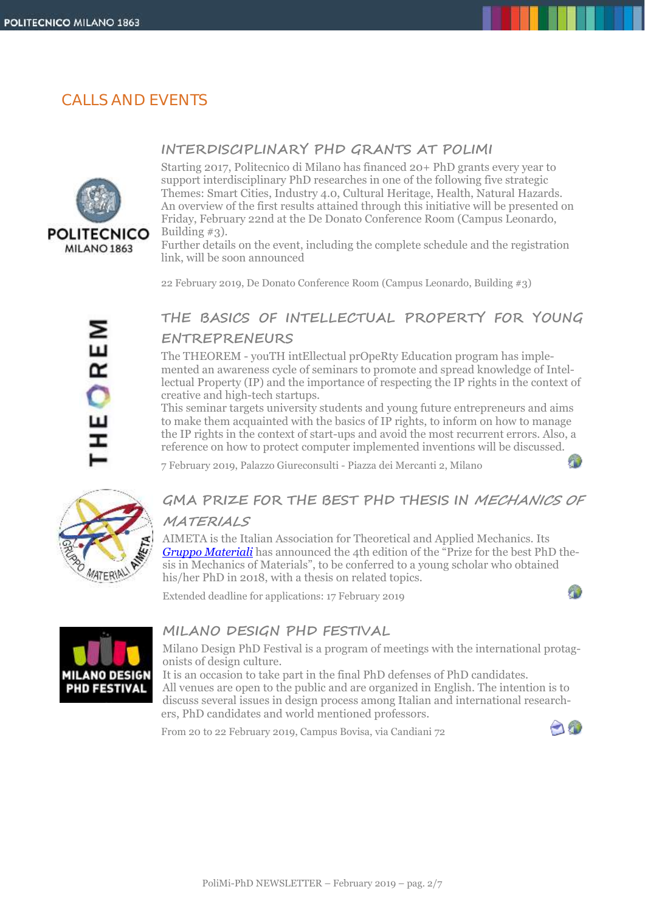# CALLS AND EVENTS



### **INTERDISCIPLINARY PHD GRANTS AT POLIMI**

Starting 2017, Politecnico di Milano has financed 20+ PhD grants every year to support interdisciplinary PhD researches in one of the following five strategic Themes: Smart Cities, Industry 4.0, Cultural Heritage, Health, Natural Hazards. An overview of the first results attained through this initiative will be presented on Friday, February 22nd at the De Donato Conference Room (Campus Leonardo, Building #3).

Further details on the event, including the complete schedule and the registration link, will be soon announced

22 February 2019, De Donato Conference Room (Campus Leonardo, Building #3)

# HEOREM

# **THE BASICS OF INTELLECTUAL PROPERTY FOR YOUNG ENTREPRENEURS**

The THEOREM - youTH intEllectual prOpeRty Education program has implemented an awareness cycle of seminars to promote and spread knowledge of Intellectual Property (IP) and the importance of respecting the IP rights in the context of creative and high-tech startups.

This seminar targets university students and young future entrepreneurs and aims to make them acquainted with the basics of IP rights, to inform on how to manage the IP rights in the context of start-ups and avoid the most recurrent errors. Also, a reference on how to protect computer implemented inventions will be discussed.

7 February 2019, Palazzo Giureconsulti - Piazza dei Mercanti 2, Milano



# **GMA PRIZE FOR THE BEST PHD THESIS IN MECHANICS OF MATERIALS**

AIMETA is the Italian Association for Theoretical and Applied Mechanics. Its *[Gruppo Materiali](http://www.aimeta.it/node/12)* has announced the 4th edition of the "Prize for the best PhD thesis in Mechanics of Materials", to be conferred to a young scholar who obtained his/her PhD in 2018, with a thesis on related topics.

Extended deadline for applications: 17 February 2019



### **MILANO DESIGN PHD FESTIVAL**

Milano Design PhD Festival is a program of meetings with the international protagonists of design culture.

It is an occasion to take part in the final PhD defenses of PhD candidates. All venues are open to the public and are organized in English. The intention is to discuss several issues in design process among Italian and international researchers, PhD candidates and world mentioned professors.

From 20 to 22 February 2019, Campus Bovisa, via Candiani 72



a.

æ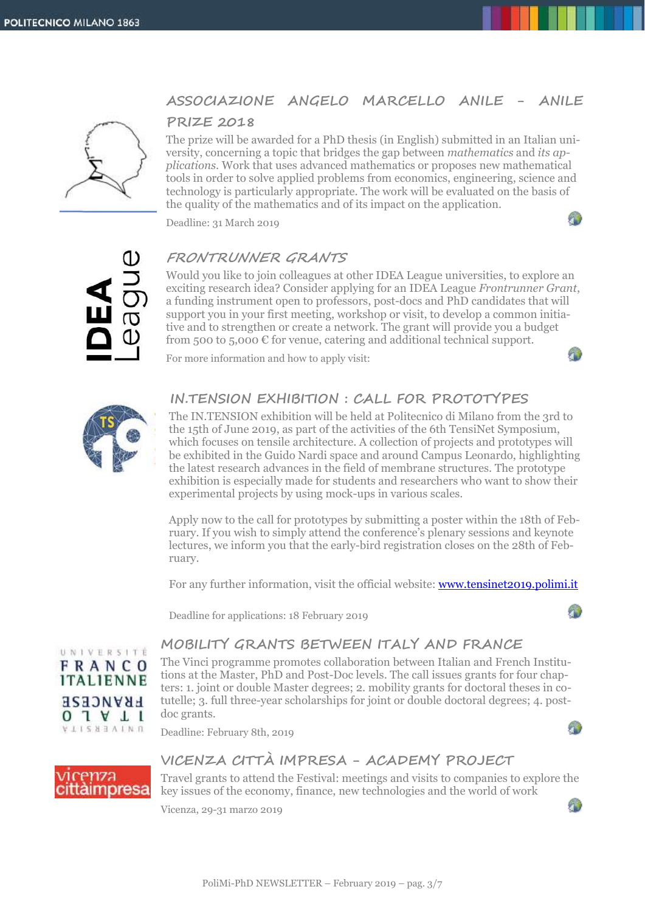### **ASSOCIAZIONE ANGELO MARCELLO ANILE - ANILE**



# **PRIZE 2018**

The prize will be awarded for a PhD thesis (in English) submitted in an Italian university, concerning a topic that bridges the gap between *mathematics* and *its applications*. Work that uses advanced mathematics or proposes new mathematical tools in order to solve applied problems from economics, engineering, science and technology is particularly appropriate. The work will be evaluated on the basis of the quality of the mathematics and of its impact on the application.

Deadline: 31 March 2019



### **FRONTRUNNER GRANTS**

Would you like to join colleagues at other IDEA League universities, to explore an exciting research idea? Consider applying for an IDEA League *Frontrunner Grant*, a funding instrument open to professors, post-docs and PhD candidates that will support you in your first meeting, workshop or visit, to develop a common initiative and to strengthen or create a network. The grant will provide you a budget from 500 to 5,000  $\epsilon$  for venue, catering and additional technical support.

For more information and how to apply visit:



Л

### **IN.TENSION EXHIBITION : CALL FOR PROTOTYPES**

The IN.TENSION exhibition will be held at Politecnico di Milano from the 3rd to the 15th of June 2019, as part of the activities of the 6th TensiNet Symposium, which focuses on tensile architecture. A collection of projects and prototypes will be exhibited in the Guido Nardi space and around Campus Leonardo, highlighting the latest research advances in the field of membrane structures. The prototype exhibition is especially made for students and researchers who want to show their experimental projects by using mock-ups in various scales.

Apply now to the call for prototypes by submitting a poster within the 18th of February. If you wish to simply attend the conference's plenary sessions and keynote lectures, we inform you that the early-bird registration closes on the 28th of February.

For any further information, visit the official website: [www.tensinet2019.polimi.it](http://www.tensinet2019.polimi.it/)

Deadline for applications: 18 February 2019



Я

## **MOBILITY GRANTS BETWEEN ITALY AND FRANCE**

The Vinci programme promotes collaboration between Italian and French Institutions at the Master, PhD and Post-Doc levels. The call issues grants for four chapters: 1. joint or double Master degrees; 2. mobility grants for doctoral theses in cotutelle; 3. full three-year scholarships for joint or double doctoral degrees; 4. postdoc grants.

Deadline: February 8th, 2019

# **VICENZA CITTÀ IMPRESA - ACADEMY PROJECT**

Travel grants to attend the Festival: meetings and visits to companies to explore the key issues of the economy, finance, new technologies and the world of work

Vicenza, 29-31 marzo 2019



icenza cittàimpresa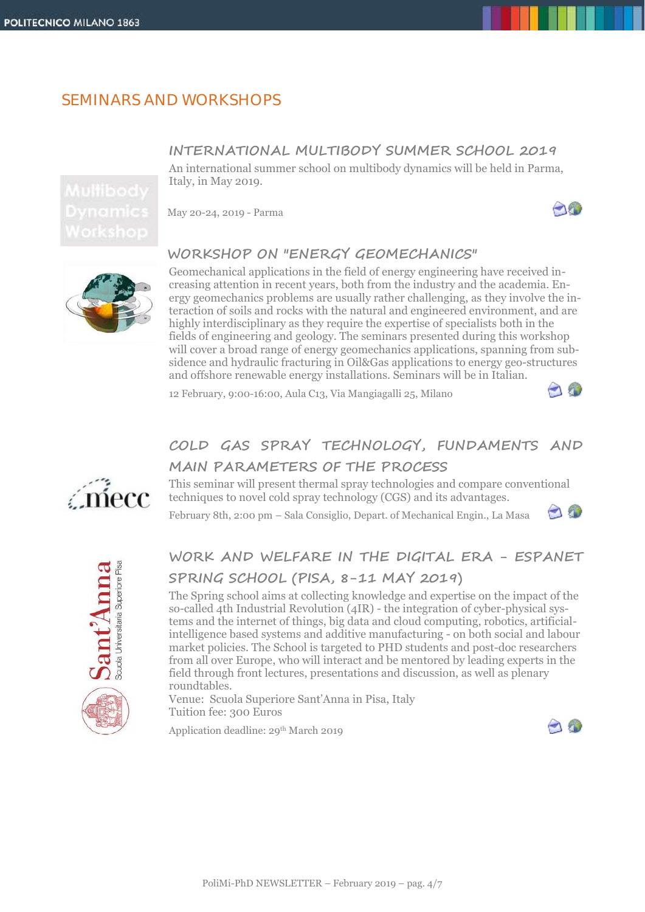# SEMINARS AND WORKSHOPS

### **INTERNATIONAL MULTIBODY SUMMER SCHOOL 2019**

An international summer school on multibody dynamics will be held in Parma, Italy, in May 2019.

May 20-24, 2019 - Parma

# **WORKSHOP ON "ENERGY GEOMECHANICS"**

Geomechanical applications in the field of energy engineering have received increasing attention in recent years, both from the industry and the academia. Energy geomechanics problems are usually rather challenging, as they involve the interaction of soils and rocks with the natural and engineered environment, and are highly interdisciplinary as they require the expertise of specialists both in the fields of engineering and geology. The seminars presented during this workshop will cover a broad range of energy geomechanics applications, spanning from subsidence and hydraulic fracturing in Oil&Gas applications to energy geo-structures and offshore renewable energy installations. Seminars will be in Italian.

12 February, 9:00-16:00, Aula C13, Via Mangiagalli 25, Milano

# **COLD GAS SPRAY TECHNOLOGY, FUNDAMENTS AND MAIN PARAMETERS OF THE PROCESS**

This seminar will present thermal spray technologies and compare conventional techniques to novel cold spray technology (CGS) and its advantages.

February 8th, 2:00 pm – Sala Consiglio, Depart. of Mechanical Engin., La Masa

# **WORK AND WELFARE IN THE DIGITAL ERA - ESPANET SPRING SCHOOL (PISA, 8-11 MAY 2019)**

The Spring school aims at collecting knowledge and expertise on the impact of the so-called 4th Industrial Revolution (4IR) - the integration of cyber-physical systems and the internet of things, big data and cloud computing, robotics, artificialintelligence based systems and additive manufacturing - on both social and labour market policies. The School is targeted to PHD students and post-doc researchers from all over Europe, who will interact and be mentored by leading experts in the field through front lectures, presentations and discussion, as well as plenary roundtables.

Venue: Scuola Superiore Sant'Anna in Pisa, Italy Tuition fee: 300 Euros

Application deadline: 29<sup>th</sup> March 2019







amecc



-18



PoliMi-PhD NEWSLETTER – February 2019 – pag. 4/7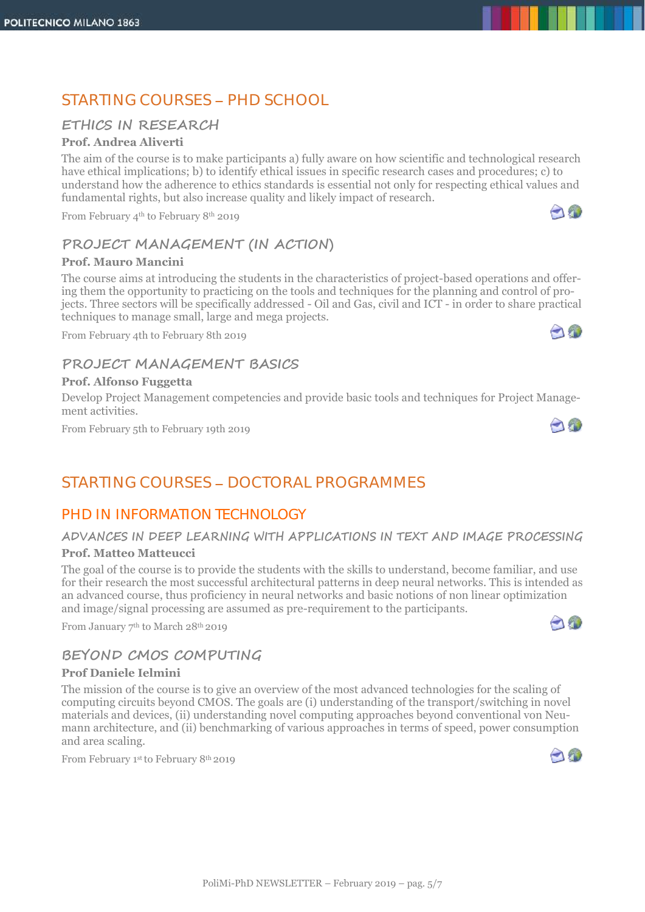# STARTING COURSES - PHD SCHOOL

### **ETHICS IN RESEARCH**

### **Prof. Andrea Aliverti**

The aim of the course is to make participants a) fully aware on how scientific and technological research have ethical implications; b) to identify ethical issues in specific research cases and procedures; c) to understand how the adherence to ethics standards is essential not only for respecting ethical values and fundamental rights, but also increase quality and likely impact of research.

From February 4th to February 8th 2019

## **PROJECT MANAGEMENT (IN ACTION)**

### **Prof. Mauro Mancini**

The course aims at introducing the students in the characteristics of project-based operations and offering them the opportunity to practicing on the tools and techniques for the planning and control of projects. Three sectors will be specifically addressed - Oil and Gas, civil and ICT - in order to share practical techniques to manage small, large and mega projects.

From February 4th to February 8th 2019

### **PROJECT MANAGEMENT BASICS**

### **Prof. Alfonso Fuggetta**

Develop Project Management competencies and provide basic tools and techniques for Project Management activities.

From February 5th to February 19th 2019

# STARTING COURSES - DOCTORAL PROGRAMMES

### PHD IN *INFORMATION TECHNOLOGY*

# **ADVANCES IN DEEP LEARNING WITH APPLICATIONS IN TEXT AND IMAGE PROCESSING**

### **Prof. Matteo Matteucci**

The goal of the course is to provide the students with the skills to understand, become familiar, and use for their research the most successful architectural patterns in deep neural networks. This is intended as an advanced course, thus proficiency in neural networks and basic notions of non linear optimization and image/signal processing are assumed as pre-requirement to the participants.

From January 7<sup>th</sup> to March 28<sup>th</sup> 2019

### **BEYOND CMOS COMPUTING**

### **Prof Daniele Ielmini**

The mission of the course is to give an overview of the most advanced technologies for the scaling of computing circuits beyond CMOS. The goals are (i) understanding of the transport/switching in novel materials and devices, (ii) understanding novel computing approaches beyond conventional von Neumann architecture, and (ii) benchmarking of various approaches in terms of speed, power consumption and area scaling.

From February 1st to February 8<sup>th</sup> 2019





 $\neg$ 







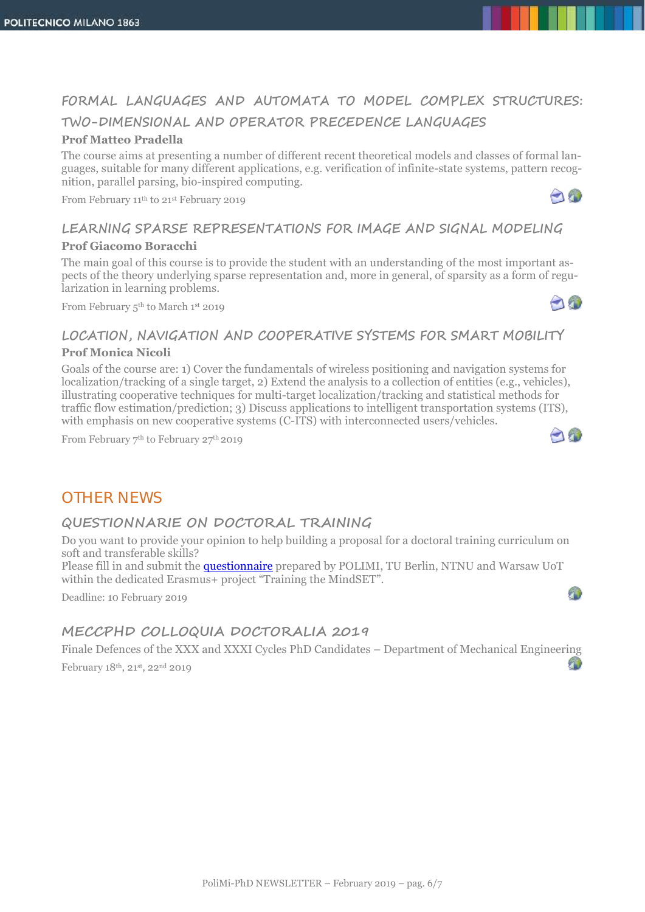# **FORMAL LANGUAGES AND AUTOMATA TO MODEL COMPLEX STRUCTURES: TWO-DIMENSIONAL AND OPERATOR PRECEDENCE LANGUAGES**

### **Prof Matteo Pradella**

The course aims at presenting a number of different recent theoretical models and classes of formal languages, suitable for many different applications, e.g. verification of infinite-state systems, pattern recognition, parallel parsing, bio-inspired computing.

From February 11th to 21st February 2019

# **LEARNING SPARSE REPRESENTATIONS FOR IMAGE AND SIGNAL MODELING**

### **Prof Giacomo Boracchi**

The main goal of this course is to provide the student with an understanding of the most important aspects of the theory underlying sparse representation and, more in general, of sparsity as a form of regularization in learning problems.

From February 5th to March 1st 2019



AO

### **LOCATION, NAVIGATION AND COOPERATIVE SYSTEMS FOR SMART MOBILITY**

### **Prof Monica Nicoli**

Goals of the course are: 1) Cover the fundamentals of wireless positioning and navigation systems for localization/tracking of a single target, 2) Extend the analysis to a collection of entities (e.g., vehicles), illustrating cooperative techniques for multi-target localization/tracking and statistical methods for traffic flow estimation/prediction; 3) Discuss applications to intelligent transportation systems (ITS), with emphasis on new cooperative systems (C-ITS) with interconnected users/vehicles.

From February 7th to February 27th 2019



O

# OTHER NEWS

### **QUESTIONNARIE ON DOCTORAL TRAINING**

Do you want to provide your opinion to help building a proposal for a doctoral training curriculum on soft and transferable skills?

Please fill in and submit the [questionnaire](https://befragung.tu-berlin.de/evasys/online.php?p=KDGF8&t=41) prepared by POLIMI, TU Berlin, NTNU and Warsaw UoT within the dedicated Erasmus+ project "Training the MindSET".

Deadline: 10 February 2019

### **MECCPHD COLLOQUIA DOCTORALIA 2019**

Finale Defences of the XXX and XXXI Cycles PhD Candidates – Department of Mechanical Engineering  $\overline{A}$ February 18th, 21st, 22nd 2019